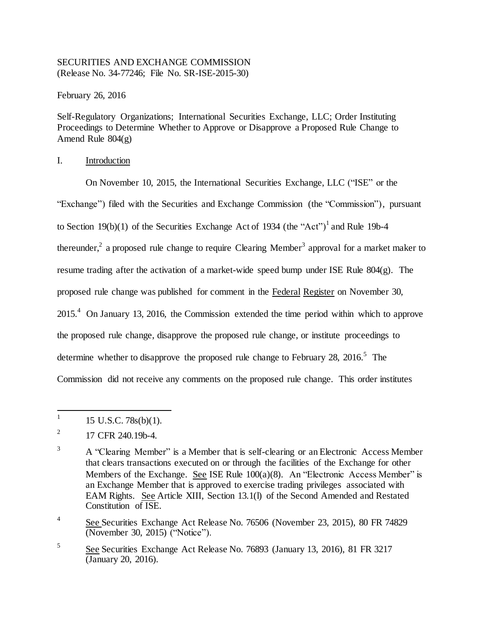## SECURITIES AND EXCHANGE COMMISSION (Release No. 34-77246; File No. SR-ISE-2015-30)

February 26, 2016

Self-Regulatory Organizations; International Securities Exchange, LLC; Order Instituting Proceedings to Determine Whether to Approve or Disapprove a Proposed Rule Change to Amend Rule  $804(g)$ 

# I. Introduction

On November 10, 2015, the International Securities Exchange, LLC ("ISE" or the "Exchange") filed with the Securities and Exchange Commission (the "Commission"), pursuant to Section 19(b)(1) of the Securities Exchange Act of 1934 (the "Act")<sup>1</sup> and Rule 19b-4 thereunder,<sup>2</sup> a proposed rule change to require Clearing Member<sup>3</sup> approval for a market maker to resume trading after the activation of a market-wide speed bump under ISE Rule 804(g). The proposed rule change was published for comment in the Federal Register on November 30,  $2015<sup>4</sup>$  On January 13, 2016, the Commission extended the time period within which to approve the proposed rule change, disapprove the proposed rule change, or institute proceedings to determine whether to disapprove the proposed rule change to February 28, 2016.<sup>5</sup> The Commission did not receive any comments on the proposed rule change. This order institutes

<sup>|&</sup>lt;br>|<br>| 15 U.S.C. 78s(b)(1).

<sup>2</sup> 17 CFR 240.19b-4.

<sup>&</sup>lt;sup>3</sup> A "Clearing Member" is a Member that is self-clearing or an Electronic Access Member that clears transactions executed on or through the facilities of the Exchange for other Members of the Exchange. See ISE Rule 100(a)(8). An "Electronic Access Member" is an Exchange Member that is approved to exercise trading privileges associated with EAM Rights. See Article XIII, Section 13.1(l) of the Second Amended and Restated Constitution of ISE.

<sup>4</sup> See Securities Exchange Act Release No. 76506 (November 23, 2015), 80 FR 74829 (November 30, 2015) ("Notice").

<sup>5</sup> See Securities Exchange Act Release No. 76893 (January 13, 2016), 81 FR 3217 (January 20, 2016).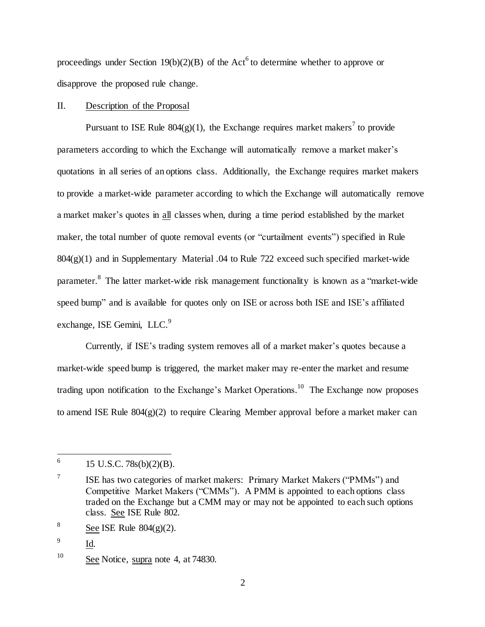proceedings under Section  $19(b)(2)(B)$  of the Act<sup>6</sup> to determine whether to approve or disapprove the proposed rule change.

### II. Description of the Proposal

Pursuant to ISE Rule  $804(g)(1)$ , the Exchange requires market makers<sup>7</sup> to provide parameters according to which the Exchange will automatically remove a market maker's quotations in all series of an options class. Additionally, the Exchange requires market makers to provide a market-wide parameter according to which the Exchange will automatically remove a market maker's quotes in all classes when, during a time period established by the market maker, the total number of quote removal events (or "curtailment events") specified in Rule  $804(g)(1)$  and in Supplementary Material .04 to Rule 722 exceed such specified market-wide parameter.<sup>8</sup> The latter market-wide risk management functionality is known as a "market-wide speed bump" and is available for quotes only on ISE or across both ISE and ISE's affiliated exchange, ISE Gemini, LLC.<sup>9</sup>

Currently, if ISE's trading system removes all of a market maker's quotes because a market-wide speed bump is triggered, the market maker may re-enter the market and resume trading upon notification to the Exchange's Market Operations.<sup>10</sup> The Exchange now proposes to amend ISE Rule  $804(g)(2)$  to require Clearing Member approval before a market maker can

 $\frac{1}{6}$ 15 U.S.C. 78s(b)(2)(B).

<sup>7</sup> ISE has two categories of market makers: Primary Market Makers ("PMMs") and Competitive Market Makers ("CMMs"). A PMM is appointed to each options class traded on the Exchange but a CMM may or may not be appointed to each such options class. See ISE Rule 802.

<sup>8</sup> See ISE Rule  $804(g)(2)$ .

<sup>9</sup> Id.

<sup>&</sup>lt;sup>10</sup> See Notice, supra note 4, at 74830.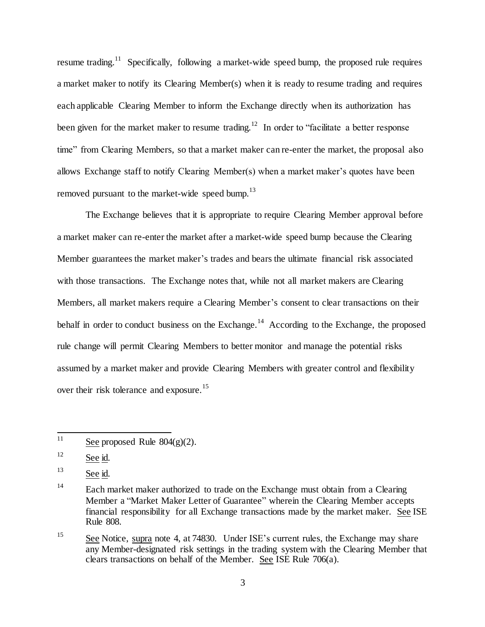resume trading.<sup>11</sup> Specifically, following a market-wide speed bump, the proposed rule requires a market maker to notify its Clearing Member(s) when it is ready to resume trading and requires each applicable Clearing Member to inform the Exchange directly when its authorization has been given for the market maker to resume trading.<sup>12</sup> In order to "facilitate a better response time" from Clearing Members, so that a market maker can re-enter the market, the proposal also allows Exchange staff to notify Clearing Member(s) when a market maker's quotes have been removed pursuant to the market-wide speed bump.<sup>13</sup>

The Exchange believes that it is appropriate to require Clearing Member approval before a market maker can re-enter the market after a market-wide speed bump because the Clearing Member guarantees the market maker's trades and bears the ultimate financial risk associated with those transactions. The Exchange notes that, while not all market makers are Clearing Members, all market makers require a Clearing Member's consent to clear transactions on their behalf in order to conduct business on the Exchange.<sup>14</sup> According to the Exchange, the proposed rule change will permit Clearing Members to better monitor and manage the potential risks assumed by a market maker and provide Clearing Members with greater control and flexibility over their risk tolerance and exposure.<sup>15</sup>

 $11$ See proposed Rule  $804(g)(2)$ .

 $12$  See id.

<sup>&</sup>lt;sup>13</sup> See id.

<sup>&</sup>lt;sup>14</sup> Each market maker authorized to trade on the Exchange must obtain from a Clearing Member a "Market Maker Letter of Guarantee" wherein the Clearing Member accepts financial responsibility for all Exchange transactions made by the market maker. See ISE Rule 808.

<sup>&</sup>lt;sup>15</sup> See Notice, supra note 4, at 74830. Under ISE's current rules, the Exchange may share any Member-designated risk settings in the trading system with the Clearing Member that clears transactions on behalf of the Member. See ISE Rule 706(a).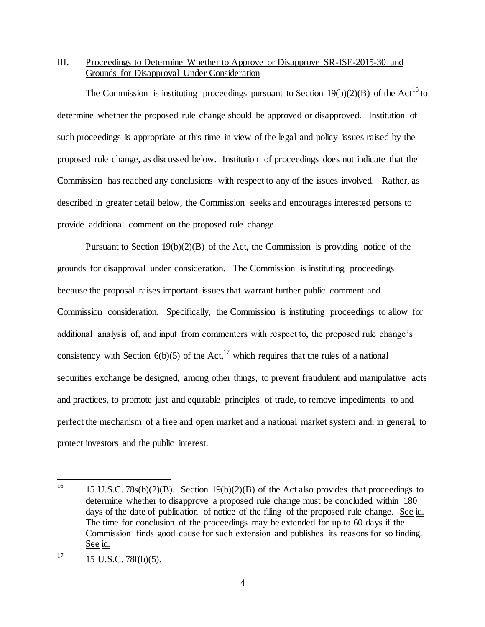## III. Proceedings to Determine Whether to Approve or Disapprove SR-ISE-2015-30 and Grounds for Disapproval Under Consideration

The Commission is instituting proceedings pursuant to Section 19(b)(2)(B) of the Act<sup>16</sup> to determine whether the proposed rule change should be approved or disapproved. Institution of such proceedings is appropriate at this time in view of the legal and policy issues raised by the proposed rule change, as discussed below. Institution of proceedings does not indicate that the Commission has reached any conclusions with respect to any of the issues involved. Rather, as described in greater detail below, the Commission seeks and encourages interested persons to provide additional comment on the proposed rule change.

Pursuant to Section 19(b)(2)(B) of the Act, the Commission is providing notice of the grounds for disapproval under consideration. The Commission is instituting proceedings because the proposal raises important issues that warrant further public comment and Commission consideration. Specifically, the Commission is instituting proceedings to allow for additional analysis of, and input from commenters with respect to, the proposed rule change's consistency with Section  $6(b)(5)$  of the Act,<sup>17</sup> which requires that the rules of a national securities exchange be designed, among other things, to prevent fraudulent and manipulative acts and practices, to promote just and equitable principles of trade, to remove impediments to and perfect the mechanism of a free and open market and a national market system and, in general, to protect investors and the public interest.

<sup>16</sup> <sup>16</sup> 15 U.S.C. 78s(b)(2)(B). Section 19(b)(2)(B) of the Act also provides that proceedings to determine whether to disapprove a proposed rule change must be concluded within 180 days of the date of publication of notice of the filing of the proposed rule change. See id. The time for conclusion of the proceedings may be extended for up to 60 days if the Commission finds good cause for such extension and publishes its reasons for so finding. See id.

 $17 \t15 \tU.S.C. 78f(b)(5).$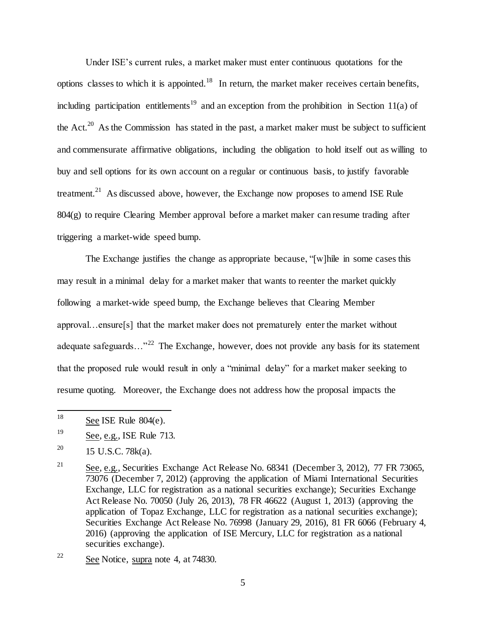Under ISE's current rules, a market maker must enter continuous quotations for the options classes to which it is appointed.<sup>18</sup> In return, the market maker receives certain benefits, including participation entitlements<sup>19</sup> and an exception from the prohibition in Section 11(a) of the Act.<sup>20</sup> As the Commission has stated in the past, a market maker must be subject to sufficient and commensurate affirmative obligations, including the obligation to hold itself out as willing to buy and sell options for its own account on a regular or continuous basis, to justify favorable treatment.<sup>21</sup> As discussed above, however, the Exchange now proposes to amend ISE Rule 804(g) to require Clearing Member approval before a market maker can resume trading after triggering a market-wide speed bump.

The Exchange justifies the change as appropriate because, "[w]hile in some cases this may result in a minimal delay for a market maker that wants to reenter the market quickly following a market-wide speed bump, the Exchange believes that Clearing Member approval…ensure[s] that the market maker does not prematurely enter the market without adequate safeguards..."<sup>22</sup> The Exchange, however, does not provide any basis for its statement that the proposed rule would result in only a "minimal delay" for a market maker seeking to resume quoting. Moreover, the Exchange does not address how the proposal impacts the

<sup>18</sup> See ISE Rule  $804(e)$ .

<sup>19</sup> See, e.g., ISE Rule 713.

<sup>&</sup>lt;sup>20</sup> 15 U.S.C. 78 $k$ (a).

<sup>&</sup>lt;sup>21</sup> See, e.g., Securities Exchange Act Release No. 68341 (December 3, 2012), 77 FR 73065, 73076 (December 7, 2012) (approving the application of Miami International Securities Exchange, LLC for registration as a national securities exchange); Securities Exchange Act Release No. 70050 (July 26, 2013), 78 FR 46622 (August 1, 2013) (approving the application of Topaz Exchange, LLC for registration as a national securities exchange); Securities Exchange Act Release No. 76998 (January 29, 2016), 81 FR 6066 (February 4, 2016) (approving the application of ISE Mercury, LLC for registration as a national securities exchange).

<sup>&</sup>lt;sup>22</sup> See Notice, supra note 4, at  $74830$ .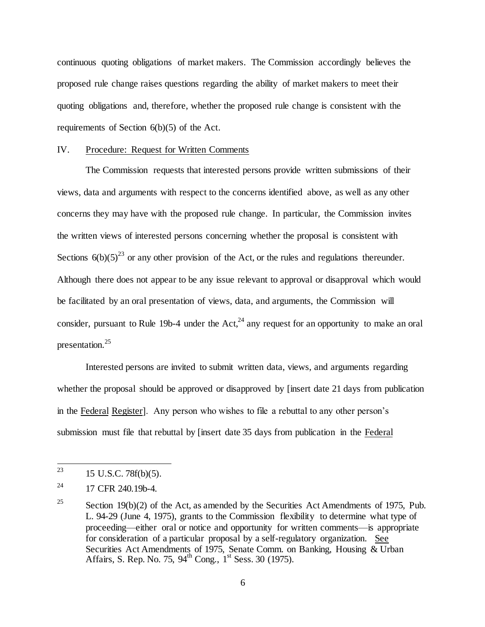continuous quoting obligations of market makers. The Commission accordingly believes the proposed rule change raises questions regarding the ability of market makers to meet their quoting obligations and, therefore, whether the proposed rule change is consistent with the requirements of Section 6(b)(5) of the Act.

#### IV. Procedure: Request for Written Comments

The Commission requests that interested persons provide written submissions of their views, data and arguments with respect to the concerns identified above, as well as any other concerns they may have with the proposed rule change. In particular, the Commission invites the written views of interested persons concerning whether the proposal is consistent with Sections  $6(b)(5)^{23}$  or any other provision of the Act, or the rules and regulations thereunder. Although there does not appear to be any issue relevant to approval or disapproval which would be facilitated by an oral presentation of views, data, and arguments, the Commission will consider, pursuant to Rule 19b-4 under the Act,<sup>24</sup> any request for an opportunity to make an oral presentation.<sup>25</sup>

Interested persons are invited to submit written data, views, and arguments regarding whether the proposal should be approved or disapproved by [insert date 21 days from publication in the Federal Register]. Any person who wishes to file a rebuttal to any other person's submission must file that rebuttal by [insert date 35 days from publication in the Federal

<sup>23</sup> <sup>23</sup> 15 U.S.C. 78f(b)(5).

<sup>&</sup>lt;sup>24</sup> 17 CFR 240.19b-4.

<sup>&</sup>lt;sup>25</sup> Section 19(b)(2) of the Act, as amended by the Securities Act Amendments of 1975, Pub. L. 94-29 (June 4, 1975), grants to the Commission flexibility to determine what type of proceeding—either oral or notice and opportunity for written comments—is appropriate for consideration of a particular proposal by a self-regulatory organization. See Securities Act Amendments of 1975, Senate Comm. on Banking, Housing  $\&$  Urban Affairs, S. Rep. No. 75,  $94^{th}$  Cong.,  $1^{st}$  Sess. 30 (1975).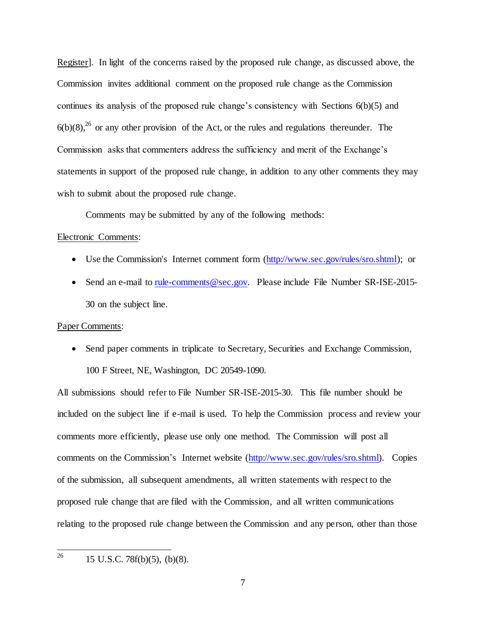Register]. In light of the concerns raised by the proposed rule change, as discussed above, the Commission invites additional comment on the proposed rule change as the Commission continues its analysis of the proposed rule change's consistency with Sections 6(b)(5) and  $6(b)(8)$ ,<sup>26</sup> or any other provision of the Act, or the rules and regulations thereunder. The Commission asks that commenters address the sufficiency and merit of the Exchange's statements in support of the proposed rule change, in addition to any other comments they may wish to submit about the proposed rule change.

Comments may be submitted by any of the following methods:

#### Electronic Comments:

- Use the Commission's Internet comment form (http://www.sec.gov/rules/sro.shtml); or
- Send an e-mail to rule-comments@sec.gov. Please include File Number SR-ISE-2015-30 on the subject line.

#### Paper Comments:

• Send paper comments in triplicate to Secretary, Securities and Exchange Commission, 100 F Street, NE, Washington, DC 20549-1090.

All submissions should refer to File Number SR-ISE-2015-30. This file number should be included on the subject line if e-mail is used. To help the Commission process and review your comments more efficiently, please use only one method. The Commission will post all comments on the Commission's Internet website (http://www.sec.gov/rules/sro.shtml). Copies of the submission, all subsequent amendments, all written statements with respect to the proposed rule change that are filed with the Commission, and all written communications relating to the proposed rule change between the Commission and any person, other than those

26 <sup>26</sup> 15 U.S.C. 78f(b)(5), (b)(8).